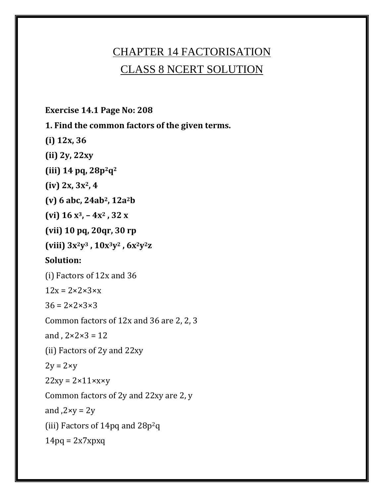# CHAPTER 14 FACTORISATION CLASS 8 NCERT SOLUTION

**Exercise 14.1 Page No: 208**

**1. Find the common factors of the given terms.**

**(i) 12x, 36**

**(ii) 2y, 22xy**

**(iii) 14 pq, 28p2q<sup>2</sup>**

**(iv) 2x, 3x2, 4**

**(v) 6 abc, 24ab2, 12a2b**

**(vi) 16 x3, – 4x<sup>2</sup> , 32 x**

**(vii) 10 pq, 20qr, 30 rp**

**(viii) 3x2y<sup>3</sup> , 10x3y<sup>2</sup> , 6x2y2z**

#### **Solution:**

(i) Factors of 12x and 36

 $12x = 2 \times 2 \times 3 \times x$ 

 $36 = 2 \times 2 \times 3 \times 3$ 

Common factors of 12x and 36 are 2, 2, 3

and ,  $2 \times 2 \times 3 = 12$ 

(ii) Factors of 2y and 22xy

 $2y = 2 \times y$ 

 $22xy = 2 \times 11 \times x \times y$ 

Common factors of 2y and 22xy are 2, y

and  $2xy = 2y$ 

(iii) Factors of 14pq and  $28p^2q$ 

 $14pq = 2x7xpxq$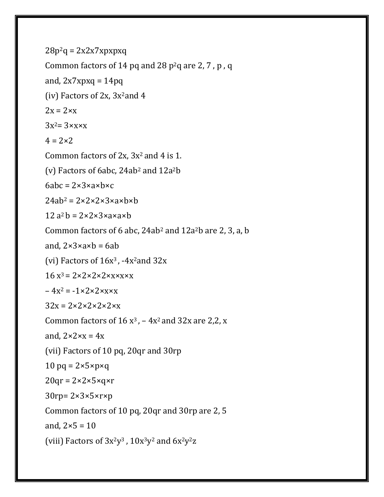```
28p^2q = 2x2x7xpxpxqCommon factors of 14 pq and 28 p^2q are 2, 7, p, q
and, 2x7xpxq = 14pq(iv) Factors of 2x, 3x^2 and 42x = 2 \times x3x^2 = 3 \times x \times x4 = 2 \times 2Common factors of 2x, 3x^2 and 4 is 1.
(v) Factors of 6abc, 24ab^2 and 12a^2b6abc = 2 \times 3 \times a \times b \times c24ab^2 = 2 \times 2 \times 2 \times 3 \times ax12 a^2 h = 2 \times 2 \times 3 \times 3 \times 3 \times hCommon factors of 6 abc, 24ab<sup>2</sup> and 12a<sup>2</sup>b are 2, 3, a, b
and, 2 \times 3 \times a \times b = 6ab(vi) Factors of 16x^3, -4x<sup>2</sup>and 32x16 x^3 = 2 \times 2 \times 2 \times 2 \times x \times x \times x-4x^2 = -1 \times 2 \times 2 \times x \times x32x = 2 \times 2 \times 2 \times 2 \times 2Common factors of 16 x<sup>3</sup>, - 4x<sup>2</sup> and 32x are 2,2, x
and, 2 \times 2 \times x = 4x(vii) Factors of 10 pq, 20qr and 30rp
10 pg = 2 \times 5 \times p \times q20qr = 2 \times 2 \times 5 \times q \times r30rp= 2×3×5×r×p
Common factors of 10 pq, 20qr and 30rp are 2, 5
and, 2 \times 5 = 10(viii) Factors of 3x^2y^3, 10x^3y^2 and 6x^2y^2z
```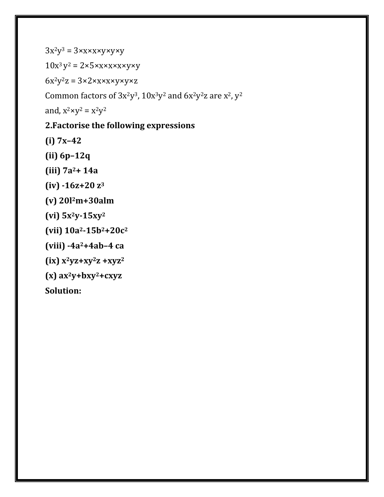$3x^2y^3 = 3xxxxxyxyxy$ 

 $10x^3y^2 = 2\times5\times x\times x\times x\times y\times y$ 

 $6x^2y^2z = 3 \times 2 \times x \times x \times y \times y \times z$ 

Common factors of  $3x^2y^3$ ,  $10x^3y^2$  and  $6x^2y^2z$  are  $x^2$ ,  $y^2$ 

and,  $x^2 \times y^2 = x^2y^2$ 

#### **2.Factorise the following expressions**

**(i) 7x–42**

- **(ii) 6p–12q**
- **(iii) 7a2+ 14a**
- **(iv) -16z+20 z<sup>3</sup>**
- **(v) 20l2m+30alm**
- **(vi) 5x2y-15xy<sup>2</sup>**
- **(vii) 10a2-15b2+20c<sup>2</sup>**
- **(viii) -4a2+4ab–4 ca**
- **(ix) x2yz+xy2z +xyz<sup>2</sup>**
- **(x) ax2y+bxy2+cxyz**

**Solution:**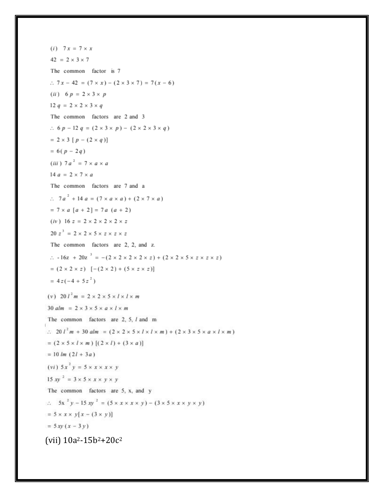$(i)$  7x = 7 x x  $42 = 2 \times 3 \times 7$ The common factor is 7  $\therefore$  7 x - 42 = (7 × x) - (2 × 3 × 7) = 7(x - 6) (*ii*)  $6 p = 2 \times 3 \times p$ 12  $q = 2 \times 2 \times 3 \times q$ The common factors are 2 and 3  $\therefore$  6 p - 12 q = (2 × 3 × p) - (2 × 2 × 3 × q)  $= 2 \times 3 [p - (2 \times q)]$  $= 6(p - 2q)$ (iii)  $7a^2 = 7 \times a \times a$ 14  $a = 2 \times 7 \times a$ The common factors are 7 and a  $\therefore$  7a<sup>2</sup> + 14a = (7 x a x a) + (2 x 7 x a)  $= 7 \times a [a + 2] = 7 a (a + 2)$  $(iv)$  16  $z = 2 \times 2 \times 2 \times 2 \times z$  $20 z<sup>3</sup> = 2 \times 2 \times 5 \times z \times z \times z$ The common factors are 2, 2, and z.  $\therefore$  -16z + 20z  $3 = -(2 \times 2 \times 2 \times 2 \times z) + (2 \times 2 \times 5 \times z \times z \times z)$  $= (2 \times 2 \times z)$   $[-(2 \times 2) + (5 \times z \times z)]$  $= 4z(-4 + 5z^{2})$ (v)  $20 l<sup>2</sup> m = 2 \times 2 \times 5 \times l \times l \times m$ 30  $\alpha lm = 2 \times 3 \times 5 \times \alpha \times l \times m$ The common factors are  $2, 5, l$  and m  $\therefore 20 l^2 m + 30 a l m = (2 \times 2 \times 5 \times l \times l \times m) + (2 \times 3 \times 5 \times a \times l \times m)$  $= (2 \times 5 \times l \times m) [(2 \times l) + (3 \times a)]$  $= 10$  lm  $(2l + 3a)$  $(vi)$   $5x^2y = 5 \times x \times x \times y$ 15 xy<sup>2</sup> =  $3 \times 5 \times x \times y \times y$ The common factors are 5, x, and y  $5x^2y - 15xy^2 = (5 \times x \times x \times y) - (3 \times 5 \times x \times y \times y)$  $= 5 \times x \times y[x - (3 \times y)]$  $= 5xy(x - 3y)$ (vii)  $10a^2 - 15b^2 + 20c^2$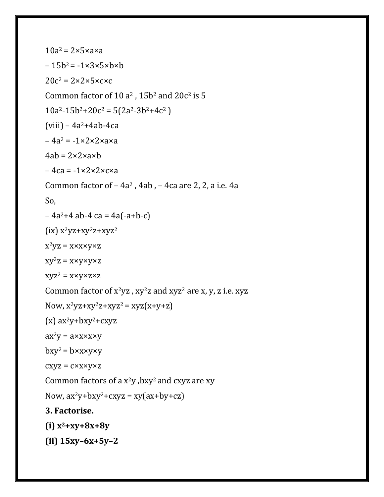```
10a^2 = 2 \times 5 \times axa-15b^2 = -1\times3\times5\times b\times b20c^2 = 2 \times 2 \times 5 \times c \times cCommon factor of 10 a^2, 15b^2 and 20c^2 is 5
10a^2-15b^2+20c^2 = 5(2a^2-3b^2+4c^2)(viii) - 4a^2 + 4ab - 4ca-4a^2 = -1 \times 2 \times 2 \times 3 \times a4ab = 2 \times 2 \times axb-4ca = -1 \times 2 \times 2 \times c \times aCommon factor of -4a^2, 4ab, -4ca are 2, 2, a i.e. 4a
So,
-4a^2+4 ab-4 ca = 4a(-a+b-c)
(ix) x^2yz+xy^2z+xyz^2x^2yz = x \times x \times y \times zxy^2z = x \times y \times y \times zxyz^2 = x \times y \times z \times zCommon factor of x^2yz, xy^2z and xyz^2 are x, y, z i.e. xyzNow, x^2yz+xy^2z+xyz^2=xyz(x+y+z)(x) ax<sup>2</sup>y+bxy<sup>2</sup>+cxyz
ax^2y = axxxxxybxy^2 = b \times x \times y \times ycxyz = c \times x \times y \times zCommon factors of a x^2y, bxy<sup>2</sup> and cxyz are xy
Now, ax^2y+bxy^2+cxyz = xy(ax+by+cz)3. Factorise.
(i) x2+xy+8x+8y
(ii) 15xy–6x+5y–2
```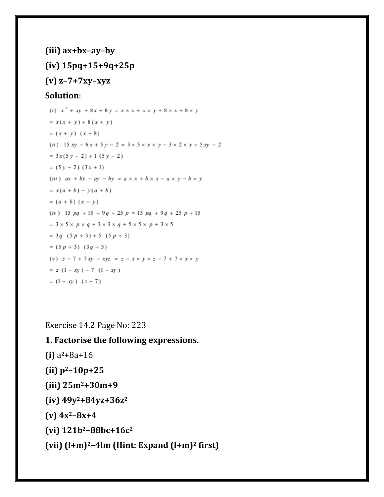```
(iii) ax+bx–ay–by
(iv) 15pq+15+9q+25p
(v) z–7+7xy–xyz
```
#### **Solution**:

```
(i) x^2 + xy + 8x + 8y = x \times x + x \times y + 8 \times x + 8 \times y= x(x + y) + 8(x + y)=(x + y) (x + 8)(ii) 15 xy - 6x + 5y - 2 = 3 \times 5 \times x \times y - 3 \times 2 \times x + 5xy - 2= 3x(5y - 2) + 1(5y - 2)= (5y - 2) (3x + 1)(iii) ax + bx - ay - by = a \times x + b \times x - a \times y - b \times y= x(a + b) - y(a + b)= (a + b) (x - y)(iv) 15 pq + 15 + 9q + 25 p = 15 pq + 9q + 25 p + 15
= 3 \times 5 \times p \times q + 3 \times 3 \times q + 5 \times 5 \times p + 3 \times 5= 3q (5p + 3) + 5 (5p + 3)= (5p + 3) (3q + 5)(v) z - 7 + 7xy - xyz = z - x \times y \times z - 7 + 7 \times x \times y= z (1 - xy) - 7 (1 - xy)= (1 - xy) (z - 7)
```
Exercise 14.2 Page No: 223

**1. Factorise the following expressions.**

**(i)** a <sup>2</sup>+8a+16

**(ii) p2–10p+25**

**(iii) 25m2+30m+9**

**(iv) 49y2+84yz+36z<sup>2</sup>**

**(v) 4x2–8x+4**

**(vi) 121b2–88bc+16c<sup>2</sup>**

**(vii) (l+m)2–4lm (Hint: Expand (l+m)<sup>2</sup> first)**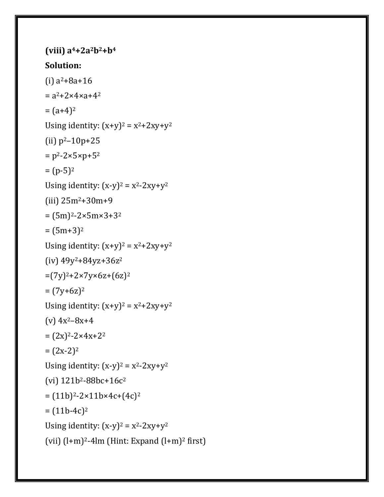```
(viii) a4+2a2b2+b4
Solution:
(i) a^2+8a+16= a^2 + 2 \times 4 \times a + 4^2= (a+4)^2Using identity: (x+y)^2 = x^2 + 2xy + y^2(ii) p^2 - 10p + 25= p^2 - 2 \times 5 \times p + 5^2= (p-5)^2Using identity: (x-y)^2 = x^2-2xy+y^2(iii) 25m2+30m+9
= (5m)^2 - 2 \times 5m \times 3 + 3^2= (5m+3)^2Using identity: (x+y)^2 = x^2 + 2xy + y^2(iv) 49y2+84yz+36z2
=(7y)^{2}+2\times7y\times6z+(6z)^{2}= (7y+6z)^2Using identity: (x+y)^2 = x^2 + 2xy + y^2(v) 4x<sup>2</sup>-8x+4
= (2x)^{2}-2 \times 4x+2^{2}= (2x-2)^2Using identity: (x-y)^2 = x^2-2xy+y^2(vi) 121b2-88bc+16c2
= (11b)^{2-2 \times 11b \times 4c + (4c)^{2}}= (11b-4c)^2Using identity: (x-y)^2 = x^2-2xy+y^2(vii) (l+m)^2-4lm (Hint: Expand (l+m)^2 first)
```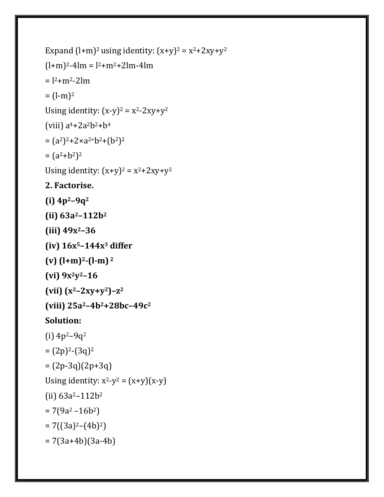```
Expand (l+m)^2 using identity: (x+y)^2 = x^2 + 2xy + y^2(l+m)^{2}-4lm = l^{2}+m^{2}+2lm-4lm= 12 + m^2 - 2lm= (l-m)^2Using identity: (x-y)^2 = x^2-2xy+y^2(viii) a^4 + 2a^2b^2 + b^4= (a^2)^2 + 2 \times a^{2 \times} b^2 + (b^2)^2= (a^2+b^2)^2Using identity: (x+y)^2 = x^2 + 2xy + y^22. Factorise.
(i) 4p2–9q2
(ii) 63a2–112b2
(iii) 49x2–36
(iv) 16x5–144x3 differ
(v) (l+m)2-(l-m) 2
(vi) 9x2y2–16
(x^{2}-2xy+y^{2})-z^{2}(viii) 25a2–4b2+28bc–49c2
Solution:
(i) 4p^2-9q^2=(2p)^{2}-(3q)^{2}= (2p-3q)(2p+3q)Using identity: x^2-y^2 = (x+y)(x-y)(ii) 63a^2 - 112b^2= 7(9a^2 - 16b^2)= 7((3a)^{2}-(4b)^{2})= 7(3a+4b)(3a-4b)
```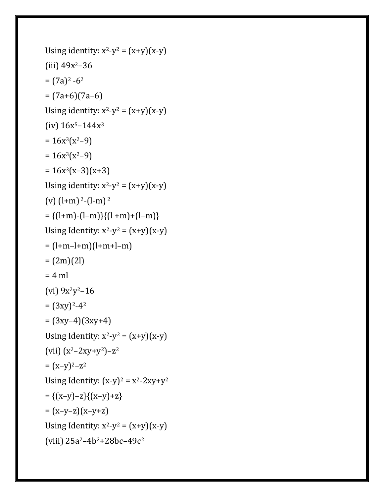```
Using identity: x^2-y^2 = (x+y)(x-y)(iii) 49x^2-36= (7a)^2 -6^2= (7a+6)(7a-6)Using identity: x^2-y^2 = (x+y)(x-y)(iv) 16x^5 - 144x^3= 16x^3(x^2-9)= 16x^3(x^2-9)= 16x^3(x-3)(x+3)Using identity: x^2-y^2 = (x+y)(x-y)(v) (l+m) <sup>2</sup>-(l-m)<sup>2</sup>
= \{(l+m)-(l-m)\}\{(l+m)+(l-m)\}Using Identity: x^2-y^2 = (x+y)(x-y)= (l+m-l+m)(l+m+l-m)= (2m)(2l)= 4 ml
(vi) 9x^2y^2-16= (3xy)^{2}-4^2= (3xy-4)(3xy+4)Using Identity: x^2-y^2 = (x+y)(x-y)(vii) (x^2-2xy+y^2)-z^2=(x-y)^2-z^2Using Identity: (x-y)^2 = x^2-2xy+y^2=\{(x-y)-z\}\{(x-y)+z\}= (x-y-z)(x-y+z)Using Identity: x^2-y^2 = (x+y)(x-y)(viii) 25a2–4b2+28bc–49c2
```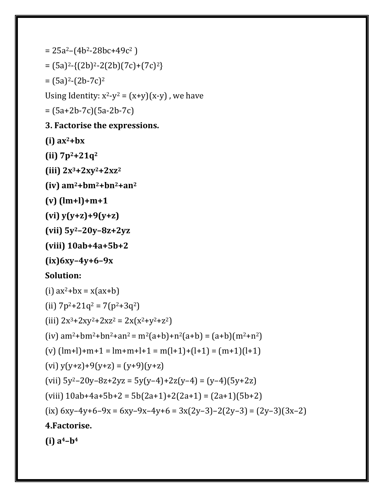```
= 25a^2 - (4b^2 - 28bc + 49c^2)= (5a)^{2} - \{(2b)^{2} - 2(2b)(7c) + (7c)^{2}\}= (5a)^2 - (2b - 7c)^2Using Identity: x^2-y^2 = (x+y)(x-y), we have
= (5a+2b-7c)(5a-2b-7c)
3. Factorise the expressions.
(i) ax2+bx
(ii) 7p2+21q2
(iii) 2x3+2xy2+2xz2
(iv) am2+bm2+bn2+an2
(v) (lm+l)+m+1
(vi) y(y+z)+9(y+z)
(vii) 5y2–20y–8z+2yz
(viii) 10ab+4a+5b+2
(ix)6xy–4y+6–9x
Solution:
(i) ax^2+bx = x(ax+b)(ii) 7p^2+21q^2 = 7(p^2+3q^2)(iii) 2x^3+2xy^2+2xz^2 = 2x(x^2+y^2+z^2)(iv) am^2+bm^2+an^2 = m^2(a+b)+n^2(a+b) = (a+b)(m^2+n^2)(v) (lm+l)+m+1 = lm+m+l+1 = m(l+1)+(l+1) = (m+1)(l+1)(vi) y(y+z)+9(y+z) = (y+9)(y+z)(vii) 5y^2-20y-8z+2yz = 5y(y-4)+2z(y-4) = (y-4)(5y+2z)(viii) 10ab+4a+5b+2 = 5b(2a+1)+2(2a+1) = (2a+1)(5b+2)
(ix) 6xy-4y+6-9x = 6xy-9x-4y+6 = 3x(2y-3)-2(2y-3) = (2y-3)(3x-2)4.Factorise.
(i) a4–b4
```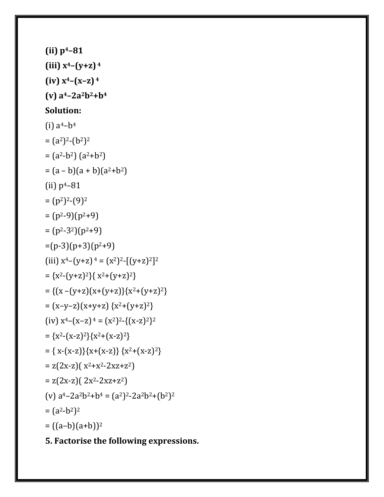## **5. Factorise the following expressions.**

```
(iii) x4–(y+z) 4
(iv) x4–(x–z) 4
(v) a4–2a2b2+b4
Solution:
(i) a^4-b^4= (a^2)^2 - (b^2)^2= (a^2-b^2) (a^2+b^2)= (a - b)(a + b)(a<sup>2</sup>+b<sup>2</sup>)(ii) p^4 - 81= (p<sup>2</sup>)<sup>2</sup>-(9)<sup>2</sup>= (p<sup>2</sup>-9)(p<sup>2</sup>+9)= (p^2-3^2)(p^2+9)=(p-3)(p+3)(p^2+9)(iii) x^4 - (y+z)^4 = (x^2)^2 - [(y+z)^2]^2=\{x^2-(y+z)^2\}\{x^2+(y+z)^2\}=\{(x-(y+z))(x+(y+z))\}(x^2+(y+z)^2\}= (x-y-z)(x+y+z) (x^2+(y+z)^2)(iv) x^4 - (x-z)^4 = (x^2)^2 - \{(x-z)^2\}^2=\{x^2-(x-z)^2\}\{x^2+(x-z)^2\}= { x-(x-z) }{x+(x-z) } { x^2+(x-z)^2 }= z(2x-z)(x^2+x^2-2xz+z^2)= z(2x-z)( 2x^2-2xz+z^2)(v) a^4 - 2a^2b^2 + b^4 = (a^2)^2 - 2a^2b^2 + (b^2)^2= (a^2-b^2)^2= ((a-b)(a+b))^2
```
**(ii) p4–81**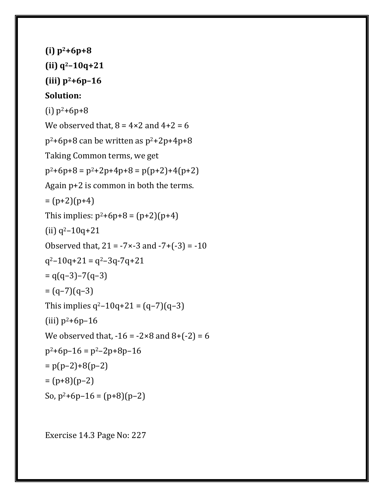```
(i) p2+6p+8
(ii) q2–10q+21
(iii) p2+6p–16
Solution:
(i) p^2+6p+8We observed that, 8 = 4 \times 2 and 4+2 = 6p^2+6p+8 can be written as p^2+2p+4p+8Taking Common terms, we get
p^2+6p+8 = p^2+2p+4p+8 = p(p+2)+4(p+2)Again p+2 is common in both the terms.
= (p+2)(p+4)This implies: p^2+6p+8 = (p+2)(p+4)(ii) q^2 - 10q + 21Observed that, 21 = -7 \times -3 and -7 + (-3) = -10q^2-10q+21 = q^2-3q-7q+21= q(q-3)-7(q-3)= (q-7)(q-3)This implies q^2-10q+21 = (q-7)(q-3)(iii) p^2+6p-16We observed that, -16 = -2 \times 8 and 8 + (-2) = 6p^2+6p-16 = p^2-2p+8p-16= p(p-2)+8(p-2)= (p+8)(p-2)So, p^2+6p-16 = (p+8)(p-2)
```
Exercise 14.3 Page No: 227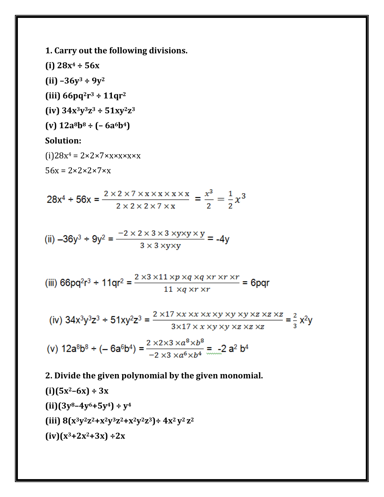**1. Carry out the following divisions.**

**(i) 28x<sup>4</sup> ÷ 56x**

**(ii) –36y<sup>3</sup> ÷ 9y<sup>2</sup>**

**(iii) 66pq2r <sup>3</sup> ÷ 11qr<sup>2</sup>**

 $(iv)$  34x<sup>3</sup>y<sup>3</sup>z<sup>3</sup> ÷ 51xy<sup>2</sup>z<sup>3</sup>

**(v) 12a8b<sup>8</sup> ÷ (– 6a6b4)**

#### **Solution:**

 $(i)28x^4 = 2 \times 2 \times 7 \times x \times x \times x \times x$ 

 $56x = 2 \times 2 \times 2 \times 7 \times x$ 

$$
28x^4 \div 56x = \frac{2 \times 2 \times 7 \times x \times x \times x \times x}{2 \times 2 \times 2 \times 7 \times x} = \frac{x^3}{2} = \frac{1}{2}x^3
$$

(ii) 
$$
-36y^3 \div 9y^2 = \frac{-2 \times 2 \times 3 \times 3 \times y \times y \times y}{3 \times 3 \times y \times y} = -4y
$$

(iii) 66pq<sup>2</sup>r<sup>3</sup> ÷ 11qr<sup>2</sup> = 
$$
\frac{2 \times 3 \times 11 \times p \times q \times q \times r \times r}{11 \times q \times r \times r}
$$
 = 6pqr

(iv) 
$$
34x^3y^3z^3 \div 51xy^2z^3 = \frac{2 \times 17 \times x \times x \times x \times y \times y \times y \times z \times z \times z}{3 \times 17 \times x \times y \times y \times z \times z \times z} = \frac{2}{3}x^2y
$$

(v) 
$$
12a^8b^8 \div (-6a^6b^4) = \frac{2 \times 2 \times 3 \times a^8 \times b^8}{-2 \times 3 \times a^6 \times b^4} = -2a^2b^4
$$

#### **2. Divide the given polynomial by the given monomial.**

(i) 
$$
(5x^2-6x) \div 3x
$$
  
\n(ii)  $(3y^8-4y^6+5y^4) \div y^4$   
\n(iii)  $8(x^3y^2z^2+x^2y^3z^2+x^2y^2z^3) \div 4x^2y^2z^2$   
\n(iv)  $(x^3+2x^2+3x) \div 2x$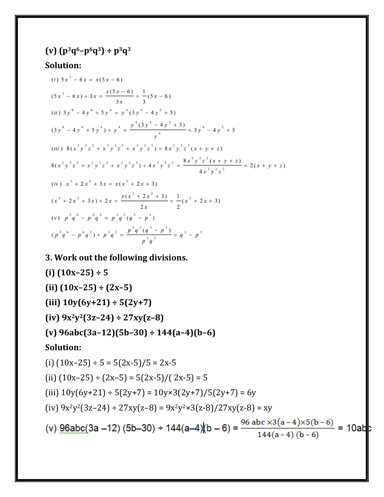# **(v) (p3q6–p6q3) ÷ p3q<sup>3</sup>**

## **Solution:**

(i) 
$$
5x^2 - 6x = x(5x - 6)
$$
  
\n $(5x^2 - 6x) \div 3x = \frac{x(5x - 6)}{3x} = \frac{1}{3}(5x - 6)$   
\n(ii)  $3y^8 - 4y^6 + 5y^4 = y^4(3y^4 - 4y^2 + 5)$   
\n $(3y^8 - 4y^6 + 5y^4) \div y^4 = \frac{y^4(3y^4 - 4y^2 + 5)}{y^4} = 3y^4 - 4y^2 + 5$   
\n(iii)  $8(x^3y^2z^2 + x^2y^3z^2 + x^2y^2z^3) = 8x^2y^2z^2(x + y + z)$   
\n $8(x^3y^2z^2 + x^2y^3z^2 + x^2y^2z^3) \div 4x^2y^2z^2 = \frac{8x^2y^2z^2(x + y + z)}{4x^2y^2z^2} = 2(x + y + z)$   
\n(iv)  $x^3 + 2x^2 + 3x = x(x^2 + 2x + 3)$   
\n $(x^3 + 2x^2 + 3x) \div 2x = \frac{x(x^3 + 2x^2 + 3)}{2x} = \frac{1}{2}(x^2 + 2x + 3)$   
\n(v)  $p^3q^6 - p^6q^3 = p^3q^3(q^3 - p^3)$   
\n $(p^3q^6 - p^6q^3) \div p^3q^3 = \frac{p^3q^3(q^3 - p^3)}{p^3q^3} = q^3 - p^3$ 

## **3. Work out the following divisions.**

(i) 
$$
(10x-25) \div 5
$$
  
\n(ii)  $(10x-25) \div (2x-5)$   
\n(iii)  $10y(6y+21) \div 5(2y+7)$   
\n(iv)  $9x^2y^2(3z-24) \div 27xy(z-8)$   
\n(v)  $96abc(3a-12)(5b-30) \div 144(a-4)(b-6)$   
\nSolution:  
\n(i)  $(10x-25) \div 5 = 5(2x-5)/5 = 2x-5$   
\n(ii)  $(10x-25) \div (2x-5) = 5(2x-5)/(2x-5) = 5$   
\n(iii)  $10y(6y+21) \div 5(2y+7) = 10y \times 3(2y+7)/5(2y+7) = 6y$   
\n(iv)  $9x^2y^2(3z-24) \div 27xy(z-8) = 9x^2y^2 \times 3(z-8)/27xy(z-8) = xy$   
\n(v)  $96abc(3a-12) (5b-30) \div 144(a-4)(b-6) = \frac{96abc \times 3(a-4) \times 5(b-6)}{144(a-4)(b-6)} = 10ab$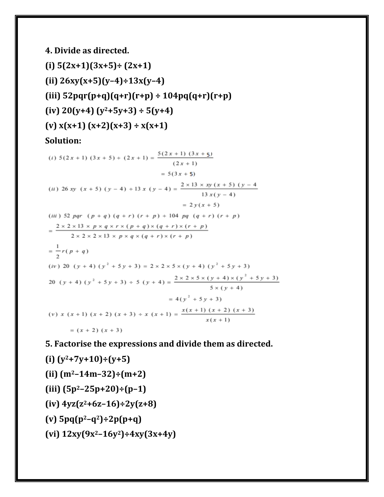# **4. Divide as directed. (i) 5(2x+1)(3x+5)÷ (2x+1) (ii) 26xy(x+5)(y–4)÷13x(y–4) (iii) 52pqr(p+q)(q+r)(r+p) ÷ 104pq(q+r)(r+p) (iv) 20(y+4) (y2+5y+3) ÷ 5(y+4) (v) x(x+1) (x+2)(x+3) ÷ x(x+1) Solution:**

(*i*)  $5(2x + 1) (3x + 5) \div (2x + 1) = \frac{5(2x + 1) (3x + 5)}{(2x + 1)}$  $= 5(3x + 5)$ (ii) 26 xy (x + 5) (y - 4) + 13 x (y - 4) =  $\frac{2 \times 13 \times xy (x + 5) (y - 4)}{13 x (y - 4)}$  $= 2y(x + 5)$ (iii) 52 pqr  $(p + q) (q + r) (r + p) \div 104$  pq  $(q + r) (r + p)$  $=\frac{2\times2\times13\times p\times q\times r\times (p+q)\times (q+r)\times (r+p)}{2\times2\times2\times13\times p\times q\times (q+r)\times (r+p)}$  $=\frac{1}{2}r(p+q)$ (iv) 20  $(y + 4) (y^2 + 5y + 3) = 2 \times 2 \times 5 \times (y + 4) (y^2 + 5y + 3)$ 20  $(y + 4) (y^2 + 5y + 3) \div 5 (y + 4) = \frac{2 \times 2 \times 5 \times (y + 4) \times (y^2 + 5y + 3)}{5 \times (y + 4)}$  $= 4(y^2 + 5y + 3)$ (v)  $x(x+1)(x+2)(x+3) + x(x+1) = \frac{x(x+1)(x+2)(x+3)}{x(x+1)}$  $=(x + 2)(x + 3)$ 

**5. Factorise the expressions and divide them as directed.**

**(i) (y2+7y+10)÷(y+5) (ii) (m2–14m–32)÷(m+2) (iii) (5p2–25p+20)÷(p–1) (iv) 4yz(z2+6z–16)÷2y(z+8) (v) 5pq(p2–q2)÷2p(p+q) (vi) 12xy(9x2–16y2)÷4xy(3x+4y)**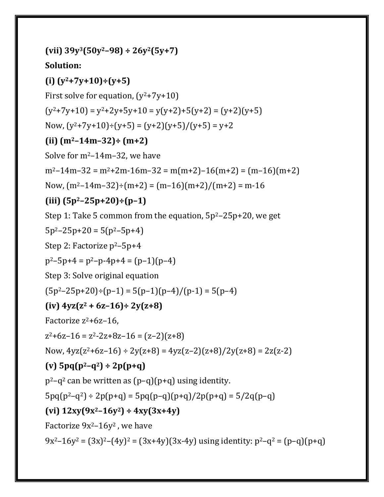**(vii) 39y3(50y2–98) ÷ 26y2(5y+7) Solution: (i) (y2+7y+10)÷(y+5)** First solve for equation,  $(y^2+7y+10)$  $(y^{2}+7y+10) = y^{2}+2y+5y+10 = y(y+2)+5(y+2) = (y+2)(y+5)$ Now,  $(y^2+7y+10) \div (y+5) = (y+2)(y+5)/(y+5) = y+2$ **(ii) (m2–14m–32)÷ (m+2)** Solve for  $m^2-14m-32$ , we have  $m^2-14m-32 = m^2+2m-16m-32 = m(m+2)-16(m+2) = (m-16)(m+2)$ Now,  $(m^2-14m-32)$ ÷ $(m+2)$  =  $(m-16)(m+2)/(m+2)$  = m-16 **(iii) (5p2–25p+20)÷(p–1)** Step 1: Take 5 common from the equation,  $5p^2-25p+20$ , we get  $5p^2 - 25p + 20 = 5(p^2 - 5p + 4)$ Step 2: Factorize  $p^2$ –5p+4  $p^2-5p+4 = p^2-p-4p+4 = (p-1)(p-4)$ Step 3: Solve original equation  $(5p^2-25p+20) \div (p-1) = 5(p-1)(p-4)/(p-1) = 5(p-4)$ **(iv) 4yz(z<sup>2</sup> + 6z–16)÷ 2y(z+8)** Factorize  $z^2+6z-16$ ,  $z^2+6z-16 = z^2-2z+8z-16 = (z-2)(z+8)$ Now,  $4yz(z^2+6z-16) \div 2y(z+8) = 4yz(z-2)(z+8)/2y(z+8) = 2z(z-2)$ **(v) 5pq(p2–q2) ÷ 2p(p+q)**  $p^2-q^2$  can be written as  $(p-q)(p+q)$  using identity.  $5pq(p^2-q^2) \div 2p(p+q) = 5pq(p-q)(p+q)/2p(p+q) = 5/2q(p-q)$ **(vi) 12xy(9x2–16y2) ÷ 4xy(3x+4y)** Factorize  $9x^2-16y^2$ , we have  $9x^2-16y^2 = (3x)^2-(4y)^2 = (3x+4y)(3x-4y)$  using identity:  $p^2-q^2 = (p-q)(p+q)$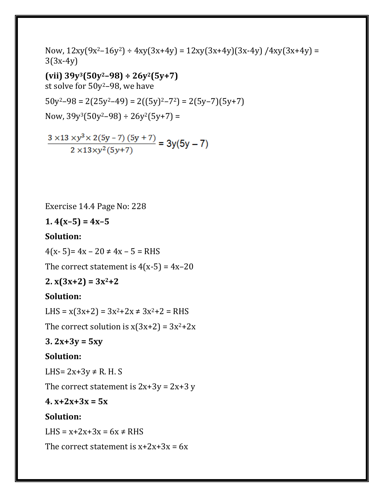Now,  $12xy(9x^2-16y^2) \div 4xy(3x+4y) = 12xy(3x+4y)(3x-4y) / 4xy(3x+4y) =$ 3(3x-4y) **(vii) 39y3(50y2–98) ÷ 26y2(5y+7)** st solve for 50y2–98, we have  $50y^2-98 = 2(25y^2-49) = 2((5y)^2-72) = 2(5y-7)(5y+7)$ Now,  $39y^{3}(50y^{2}-98) \div 26y^{2}(5y+7) =$ 

$$
\frac{3 \times 13 \times y^3 \times 2(5y - 7)(5y + 7)}{2 \times 13 \times y^2(5y + 7)} = 3y(5y - 7)
$$

Exercise 14.4 Page No: 228

**1. 4(x–5) = 4x–5**

#### **Solution:**

 $4(x-5) = 4x - 20 \neq 4x - 5 = RHS$ 

The correct statement is  $4(x-5) = 4x-20$ 

**2. x(3x+2) = 3x2+2**

#### **Solution:**

LHS =  $x(3x+2) = 3x^2+2x \neq 3x^2+2$  = RHS

The correct solution is  $x(3x+2) = 3x^2+2x$ 

#### **3. 2x+3y = 5xy**

#### **Solution:**

LHS=  $2x+3y \neq R$ . H. S

The correct statement is  $2x+3y = 2x+3y$ 

#### **4. x+2x+3x = 5x**

#### **Solution:**

LHS =  $x+2x+3x = 6x \neq R$ HS

The correct statement is  $x+2x+3x = 6x$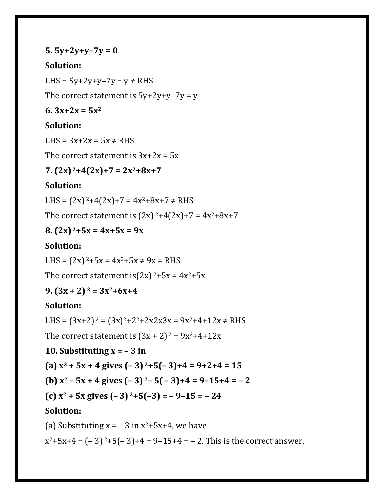#### **5. 5y+2y+y–7y = 0**

#### **Solution:**

LHS =  $5y+2y+y-7y = y \neq RHS$ 

The correct statement is  $5y+2y+y-7y = y$ 

#### **6. 3x+2x = 5x<sup>2</sup>**

#### **Solution:**

LHS =  $3x+2x = 5x \neq RHS$ 

The correct statement is  $3x+2x = 5x$ 

#### **7. (2x) <sup>2</sup>+4(2x)+7 = 2x2+8x+7**

#### **Solution:**

LHS =  $(2x)^{2+4}(2x)$ +7 =  $4x^{2}$ +8x+7  $\neq$  RHS

The correct statement is  $(2x)^{2}+4(2x)+7 = 4x^{2}+8x+7$ 

#### **8. (2x) <sup>2</sup>+5x = 4x+5x = 9x**

#### **Solution:**

LHS =  $(2x)^{2}$ +5x =  $4x^{2}$ +5x  $\neq$  9x = RHS

The correct statement is $(2x)^{2}$ +5x = 4x<sup>2</sup>+5x

#### **9. (3x + 2) <sup>2</sup> = 3x2+6x+4**

#### **Solution:**

LHS =  $(3x+2)^2 = (3x)^2 + 2^2 + 2x^2 + 3x^2 = 9x^2 + 4 + 12x \neq R$ HS

The correct statement is  $(3x + 2)^2 = 9x^2 + 4 + 12x$ 

#### **10. Substituting**  $x = -3$  **in**

**(a) x<sup>2</sup> + 5x + 4 gives (– 3) <sup>2</sup>+5(– 3)+4 = 9+2+4 = 15**

**(b) x<sup>2</sup> – 5x + 4 gives (– 3) <sup>2</sup>– 5( – 3)+4 = 9–15+4 = – 2**

(c) 
$$
x^2 + 5x
$$
 gives  $(-3)^2+5(-3) = -9-15 = -24$ 

#### **Solution:**

(a) Substituting  $x = -3$  in  $x^2+5x+4$ , we have

 $x^2+5x+4 = (-3)^2+5(-3)+4 = 9-15+4 = -2$ . This is the correct answer.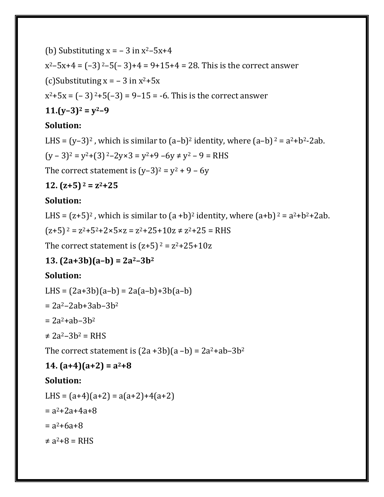(b) Substituting  $x = -3$  in  $x^2-5x+4$  $x^2-5x+4 = (-3)^2-5(-3)+4 = 9+15+4 = 28$ . This is the correct answer (c)Substituting  $x = -3$  in  $x^2+5x$  $x^2+5x = (-3)^2+5(-3) = 9-15 = -6$ . This is the correct answer **11.(y–3)<sup>2</sup> = y2–9**

### **Solution:**

LHS =  $(y-3)^2$ , which is similar to  $(a-b)^2$  identity, where  $(a-b)^2 = a^2+b^2-2ab$ .  $(y - 3)^2 = y^2 + (3)^2 - 2y \times 3 = y^2 + 9 - 6y \neq y^2 - 9 = RHS$ 

The correct statement is  $(y-3)^2 = y^2 + 9 - 6y$ 

**12. (z+5) <sup>2</sup> = z2+25**

### **Solution:**

LHS =  $(z+5)^2$ , which is similar to  $(a + b)^2$  identity, where  $(a+b)^2 = a^2 + b^2 + 2ab$ .

 $(z+5)^2 = z^2+5^2+2 \times 5 \times z = z^2+25+10z \neq z^2+25 = RHS$ 

The correct statement is  $(z+5)^2 = z^2+25+10z$ 

## **13. (2a+3b)(a–b) = 2a2–3b<sup>2</sup>**

## **Solution:**

LHS =  $(2a+3b)(a-b) = 2a(a-b)+3b(a-b)$ 

 $= 2a^2 - 2ab + 3ab - 3b^2$ 

 $= 2a^2 + ab - 3b^2$ 

```
\neq 2a^2 - 3b^2 = RHS
```
The correct statement is  $(2a+3b)(a-b) = 2a^2+ab-3b^2$ 

## $14. (a+4)(a+2) = a^2 + 8$

## **Solution:**

LHS =  $(a+4)(a+2) = a(a+2)+4(a+2)$  $= a^2 + 2a + 4a + 8$  $= a^2 + 6a + 8$  $\neq$  a<sup>2</sup>+8 = RHS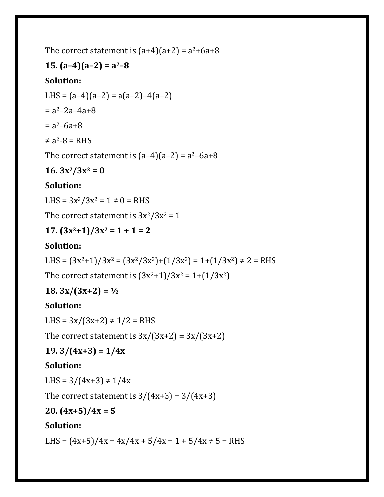The correct statement is  $(a+4)(a+2) = a^2+6a+8$ 

## **15. (a–4)(a–2) = a2–8**

## **Solution:**

LHS =  $(a-4)(a-2) = a(a-2)-4(a-2)$  $= a^2 - 2a - 4a + 8$  $= a^2 - 6a + 8$  $\neq$  a<sup>2</sup>-8 = RHS

The correct statement is  $(a-4)(a-2) = a^2-6a+8$ 

## $16. 3x^2/3x^2 = 0$

## **Solution:**

LHS =  $3x^2/3x^2 = 1 \neq 0$  = RHS

The correct statement is  $3x^2/3x^2 = 1$ 

## **17. (3x2+1)/3x<sup>2</sup> = 1 + 1 = 2**

## **Solution:**

LHS =  $(3x^2+1)/3x^2 = (3x^2/3x^2)+(1/3x^2) = 1+(1/3x^2) \neq 2 =$ RHS

The correct statement is  $(3x^2+1)/3x^2 = 1+(1/3x^2)$ 

## **18. 3x/(3x+2) = ½**

## **Solution:**

LHS =  $3x/(3x+2) \neq 1/2$  = RHS

The correct statement is  $3x/(3x+2) = 3x/(3x+2)$ 

## **19. 3/(4x+3) = 1/4x**

## **Solution:**

LHS =  $3/(4x+3) \neq 1/4x$ 

The correct statement is  $3/(4x+3) = 3/(4x+3)$ 

#### **20. (4x+5)/4x = 5**

## **Solution:**

LHS =  $(4x+5)/4x = 4x/4x + 5/4x = 1 + 5/4x \ne 5 = RHS$